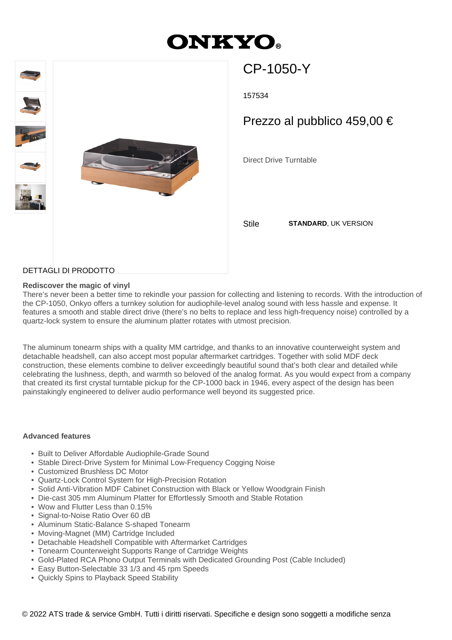# **ONKYO**



# CP-1050-Y

157534

# Prezzo al pubblico 459,00 €

Direct Drive Turntable

Stile **STANDARD**, UK VERSION

### DETTAGLI DI PRODOTTO

### **Rediscover the magic of vinyl**

There's never been a better time to rekindle your passion for collecting and listening to records. With the introduction of the CP-1050, Onkyo offers a turnkey solution for audiophile-level analog sound with less hassle and expense. It features a smooth and stable direct drive (there's no belts to replace and less high-frequency noise) controlled by a quartz-lock system to ensure the aluminum platter rotates with utmost precision.

The aluminum tonearm ships with a quality MM cartridge, and thanks to an innovative counterweight system and detachable headshell, can also accept most popular aftermarket cartridges. Together with solid MDF deck construction, these elements combine to deliver exceedingly beautiful sound that's both clear and detailed while celebrating the lushness, depth, and warmth so beloved of the analog format. As you would expect from a company that created its first crystal turntable pickup for the CP-1000 back in 1946, every aspect of the design has been painstakingly engineered to deliver audio performance well beyond its suggested price.

#### **Advanced features**

- Built to Deliver Affordable Audiophile-Grade Sound
- Stable Direct-Drive System for Minimal Low-Frequency Cogging Noise
- Customized Brushless DC Motor
- Quartz-Lock Control System for High-Precision Rotation
- Solid Anti-Vibration MDF Cabinet Construction with Black or Yellow Woodgrain Finish
- Die-cast 305 mm Aluminum Platter for Effortlessly Smooth and Stable Rotation
- Wow and Flutter Less than 0.15%
- Signal-to-Noise Ratio Over 60 dB
- Aluminum Static-Balance S-shaped Tonearm
- Moving-Magnet (MM) Cartridge Included
- Detachable Headshell Compatible with Aftermarket Cartridges
- Tonearm Counterweight Supports Range of Cartridge Weights
- Gold-Plated RCA Phono Output Terminals with Dedicated Grounding Post (Cable Included)
- Easy Button-Selectable 33 1/3 and 45 rpm Speeds
- Quickly Spins to Playback Speed Stability